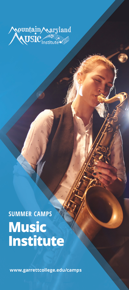

# **SUMMER CAMPS Music Institute**

www.garrettcollege.edu/camps